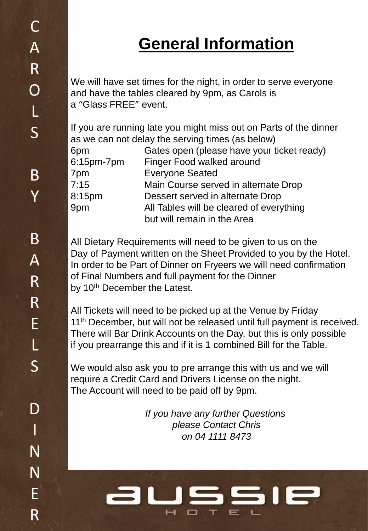# **General Information**

We will have set times for the night, in order to serve everyone and have the tables cleared by 9pm, as Carols is a "Glass FREE" event.

If you are running late you might miss out on Parts of the dinner as we can not delay the serving times (as below)

| Gates open (please have your ticket ready) |
|--------------------------------------------|
| Finger Food walked around                  |
| <b>Everyone Seated</b>                     |
| Main Course served in alternate Drop       |
| Dessert served in alternate Drop           |
| All Tables will be cleared of everything   |
| but will remain in the Area                |
|                                            |

All Dietary Requirements will need to be given to us on the Day of Payment written on the Sheet Provided to you by the Hotel. In order to be Part of Dinner on Fryeers we will need confirmation of Final Numbers and full payment for the Dinner by 10<sup>th</sup> December the Latest.

All Tickets will need to be picked up at the Venue by Friday 11<sup>th</sup> December, but will not be released until full payment is received. There will Bar Drink Accounts on the Day, but this is only possible if you prearrange this and if it is 1 combined Bill for the Table.

We would also ask you to pre arrange this with us and we will require a Credit Card and Drivers License on the night. The Account will need to be paid off by 9pm.

> *If you have any further Questions please Contact Chris on 04 1111 8473*